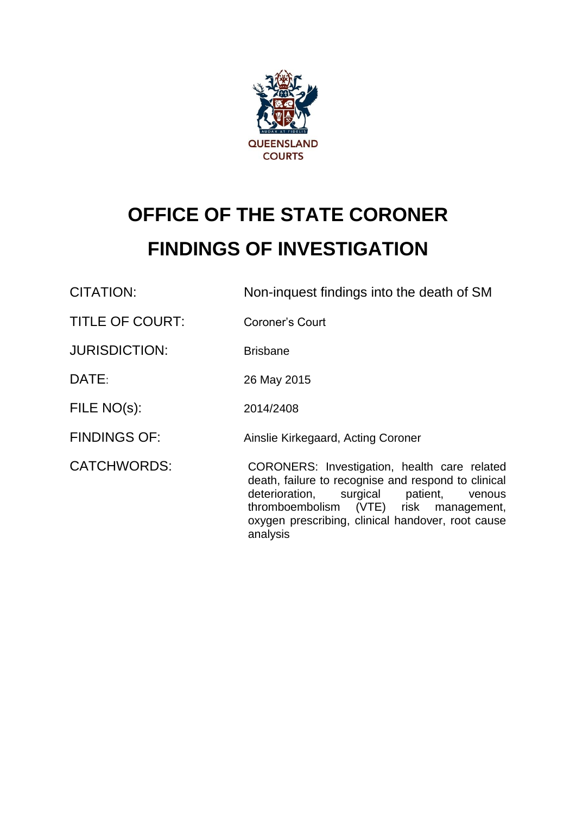

# **OFFICE OF THE STATE CORONER FINDINGS OF INVESTIGATION**

CITATION: Non-inquest findings into the death of SM

TITLE OF COURT: Coroner's Court

JURISDICTION: Brisbane

DATE: 26 May 2015

FILE NO(s): 2014/2408

FINDINGS OF: Ainslie Kirkegaard, Acting Coroner

CATCHWORDS: CORONERS: Investigation, health care related death, failure to recognise and respond to clinical deterioration, surgical patient, venous thromboembolism (VTE) risk management, oxygen prescribing, clinical handover, root cause analysis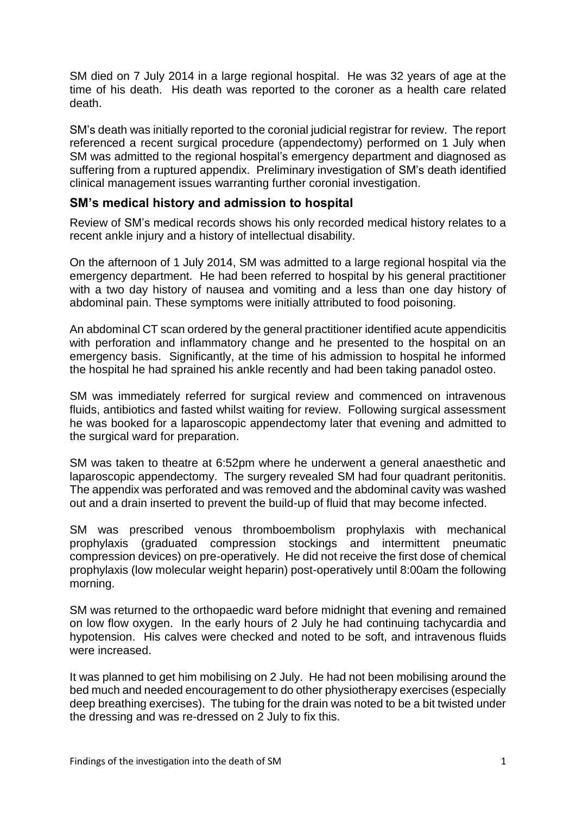SM died on 7 July 2014 in a large regional hospital. He was 32 years of age at the time of his death. His death was reported to the coroner as a health care related death.

SM's death was initially reported to the coronial judicial registrar for review. The report referenced a recent surgical procedure (appendectomy) performed on 1 July when SM was admitted to the regional hospital's emergency department and diagnosed as suffering from a ruptured appendix. Preliminary investigation of SM's death identified clinical management issues warranting further coronial investigation.

# **SM's medical history and admission to hospital**

Review of SM's medical records shows his only recorded medical history relates to a recent ankle injury and a history of intellectual disability.

On the afternoon of 1 July 2014, SM was admitted to a large regional hospital via the emergency department. He had been referred to hospital by his general practitioner with a two day history of nausea and vomiting and a less than one day history of abdominal pain. These symptoms were initially attributed to food poisoning.

An abdominal CT scan ordered by the general practitioner identified acute appendicitis with perforation and inflammatory change and he presented to the hospital on an emergency basis. Significantly, at the time of his admission to hospital he informed the hospital he had sprained his ankle recently and had been taking panadol osteo.

SM was immediately referred for surgical review and commenced on intravenous fluids, antibiotics and fasted whilst waiting for review. Following surgical assessment he was booked for a laparoscopic appendectomy later that evening and admitted to the surgical ward for preparation.

SM was taken to theatre at 6:52pm where he underwent a general anaesthetic and laparoscopic appendectomy. The surgery revealed SM had four quadrant peritonitis. The appendix was perforated and was removed and the abdominal cavity was washed out and a drain inserted to prevent the build-up of fluid that may become infected.

SM was prescribed venous thromboembolism prophylaxis with mechanical prophylaxis (graduated compression stockings and intermittent pneumatic compression devices) on pre-operatively. He did not receive the first dose of chemical prophylaxis (low molecular weight heparin) post-operatively until 8:00am the following morning.

SM was returned to the orthopaedic ward before midnight that evening and remained on low flow oxygen. In the early hours of 2 July he had continuing tachycardia and hypotension. His calves were checked and noted to be soft, and intravenous fluids were increased.

It was planned to get him mobilising on 2 July. He had not been mobilising around the bed much and needed encouragement to do other physiotherapy exercises (especially deep breathing exercises). The tubing for the drain was noted to be a bit twisted under the dressing and was re-dressed on 2 July to fix this.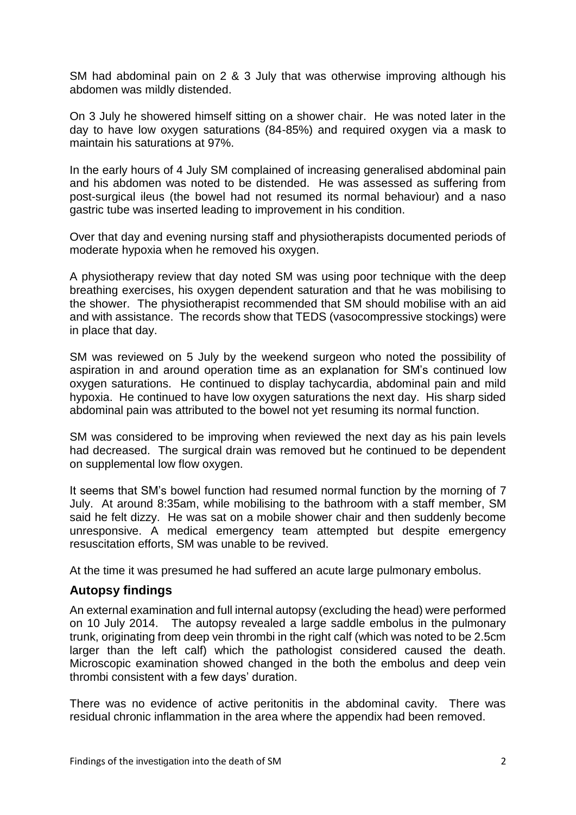SM had abdominal pain on 2 & 3 July that was otherwise improving although his abdomen was mildly distended.

On 3 July he showered himself sitting on a shower chair. He was noted later in the day to have low oxygen saturations (84-85%) and required oxygen via a mask to maintain his saturations at 97%.

In the early hours of 4 July SM complained of increasing generalised abdominal pain and his abdomen was noted to be distended. He was assessed as suffering from post-surgical ileus (the bowel had not resumed its normal behaviour) and a naso gastric tube was inserted leading to improvement in his condition.

Over that day and evening nursing staff and physiotherapists documented periods of moderate hypoxia when he removed his oxygen.

A physiotherapy review that day noted SM was using poor technique with the deep breathing exercises, his oxygen dependent saturation and that he was mobilising to the shower. The physiotherapist recommended that SM should mobilise with an aid and with assistance. The records show that TEDS (vasocompressive stockings) were in place that day.

SM was reviewed on 5 July by the weekend surgeon who noted the possibility of aspiration in and around operation time as an explanation for SM's continued low oxygen saturations. He continued to display tachycardia, abdominal pain and mild hypoxia. He continued to have low oxygen saturations the next day. His sharp sided abdominal pain was attributed to the bowel not yet resuming its normal function.

SM was considered to be improving when reviewed the next day as his pain levels had decreased. The surgical drain was removed but he continued to be dependent on supplemental low flow oxygen.

It seems that SM's bowel function had resumed normal function by the morning of 7 July. At around 8:35am, while mobilising to the bathroom with a staff member, SM said he felt dizzy. He was sat on a mobile shower chair and then suddenly become unresponsive. A medical emergency team attempted but despite emergency resuscitation efforts, SM was unable to be revived.

At the time it was presumed he had suffered an acute large pulmonary embolus.

# **Autopsy findings**

An external examination and full internal autopsy (excluding the head) were performed on 10 July 2014. The autopsy revealed a large saddle embolus in the pulmonary trunk, originating from deep vein thrombi in the right calf (which was noted to be 2.5cm larger than the left calf) which the pathologist considered caused the death. Microscopic examination showed changed in the both the embolus and deep vein thrombi consistent with a few days' duration.

There was no evidence of active peritonitis in the abdominal cavity. There was residual chronic inflammation in the area where the appendix had been removed.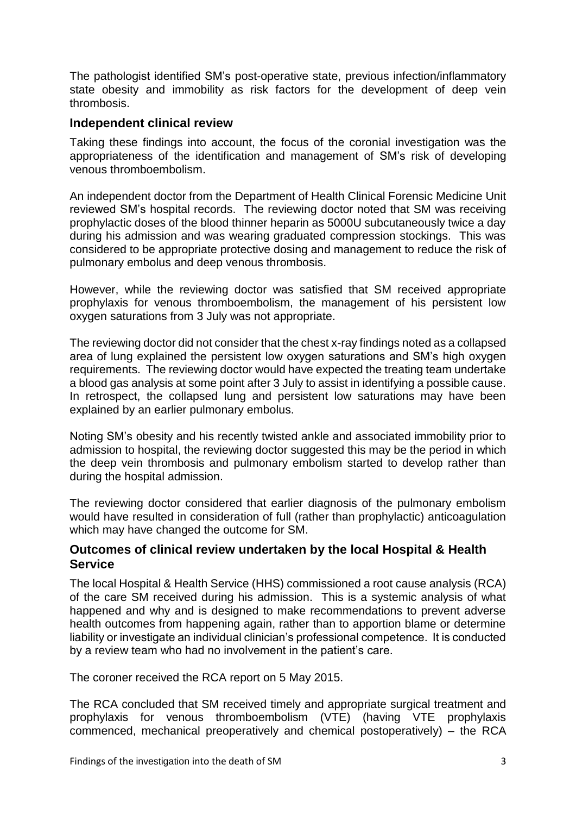The pathologist identified SM's post-operative state, previous infection/inflammatory state obesity and immobility as risk factors for the development of deep vein thrombosis.

## **Independent clinical review**

Taking these findings into account, the focus of the coronial investigation was the appropriateness of the identification and management of SM's risk of developing venous thromboembolism.

An independent doctor from the Department of Health Clinical Forensic Medicine Unit reviewed SM's hospital records. The reviewing doctor noted that SM was receiving prophylactic doses of the blood thinner heparin as 5000U subcutaneously twice a day during his admission and was wearing graduated compression stockings. This was considered to be appropriate protective dosing and management to reduce the risk of pulmonary embolus and deep venous thrombosis.

However, while the reviewing doctor was satisfied that SM received appropriate prophylaxis for venous thromboembolism, the management of his persistent low oxygen saturations from 3 July was not appropriate.

The reviewing doctor did not consider that the chest x-ray findings noted as a collapsed area of lung explained the persistent low oxygen saturations and SM's high oxygen requirements. The reviewing doctor would have expected the treating team undertake a blood gas analysis at some point after 3 July to assist in identifying a possible cause. In retrospect, the collapsed lung and persistent low saturations may have been explained by an earlier pulmonary embolus.

Noting SM's obesity and his recently twisted ankle and associated immobility prior to admission to hospital, the reviewing doctor suggested this may be the period in which the deep vein thrombosis and pulmonary embolism started to develop rather than during the hospital admission.

The reviewing doctor considered that earlier diagnosis of the pulmonary embolism would have resulted in consideration of full (rather than prophylactic) anticoagulation which may have changed the outcome for SM.

## **Outcomes of clinical review undertaken by the local Hospital & Health Service**

The local Hospital & Health Service (HHS) commissioned a root cause analysis (RCA) of the care SM received during his admission. This is a systemic analysis of what happened and why and is designed to make recommendations to prevent adverse health outcomes from happening again, rather than to apportion blame or determine liability or investigate an individual clinician's professional competence. It is conducted by a review team who had no involvement in the patient's care.

The coroner received the RCA report on 5 May 2015.

The RCA concluded that SM received timely and appropriate surgical treatment and prophylaxis for venous thromboembolism (VTE) (having VTE prophylaxis commenced, mechanical preoperatively and chemical postoperatively) – the RCA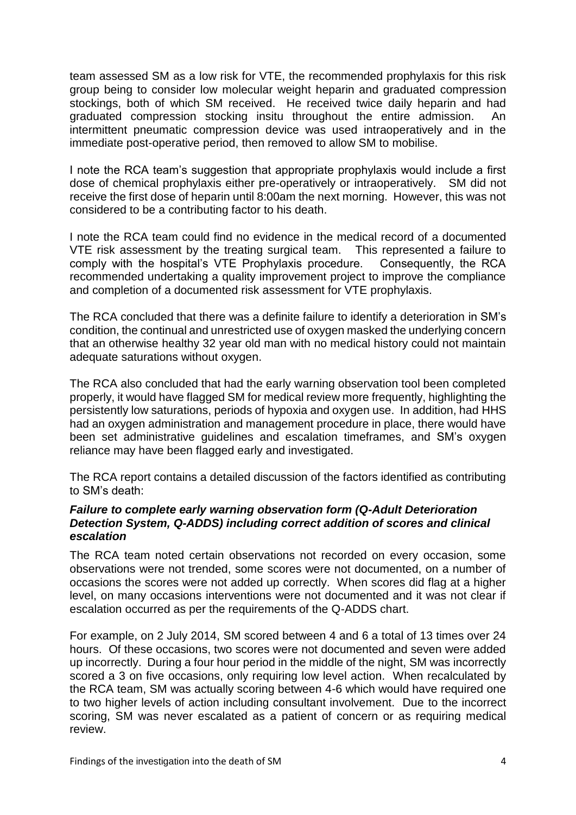team assessed SM as a low risk for VTE, the recommended prophylaxis for this risk group being to consider low molecular weight heparin and graduated compression stockings, both of which SM received. He received twice daily heparin and had graduated compression stocking insitu throughout the entire admission. An intermittent pneumatic compression device was used intraoperatively and in the immediate post-operative period, then removed to allow SM to mobilise.

I note the RCA team's suggestion that appropriate prophylaxis would include a first dose of chemical prophylaxis either pre-operatively or intraoperatively. SM did not receive the first dose of heparin until 8:00am the next morning. However, this was not considered to be a contributing factor to his death.

I note the RCA team could find no evidence in the medical record of a documented VTE risk assessment by the treating surgical team. This represented a failure to comply with the hospital's VTE Prophylaxis procedure. Consequently, the RCA recommended undertaking a quality improvement project to improve the compliance and completion of a documented risk assessment for VTE prophylaxis.

The RCA concluded that there was a definite failure to identify a deterioration in SM's condition, the continual and unrestricted use of oxygen masked the underlying concern that an otherwise healthy 32 year old man with no medical history could not maintain adequate saturations without oxygen.

The RCA also concluded that had the early warning observation tool been completed properly, it would have flagged SM for medical review more frequently, highlighting the persistently low saturations, periods of hypoxia and oxygen use. In addition, had HHS had an oxygen administration and management procedure in place, there would have been set administrative guidelines and escalation timeframes, and SM's oxygen reliance may have been flagged early and investigated.

The RCA report contains a detailed discussion of the factors identified as contributing to SM's death:

#### *Failure to complete early warning observation form (Q-Adult Deterioration Detection System, Q-ADDS) including correct addition of scores and clinical escalation*

The RCA team noted certain observations not recorded on every occasion, some observations were not trended, some scores were not documented, on a number of occasions the scores were not added up correctly. When scores did flag at a higher level, on many occasions interventions were not documented and it was not clear if escalation occurred as per the requirements of the Q-ADDS chart.

For example, on 2 July 2014, SM scored between 4 and 6 a total of 13 times over 24 hours. Of these occasions, two scores were not documented and seven were added up incorrectly. During a four hour period in the middle of the night, SM was incorrectly scored a 3 on five occasions, only requiring low level action. When recalculated by the RCA team, SM was actually scoring between 4-6 which would have required one to two higher levels of action including consultant involvement. Due to the incorrect scoring, SM was never escalated as a patient of concern or as requiring medical review.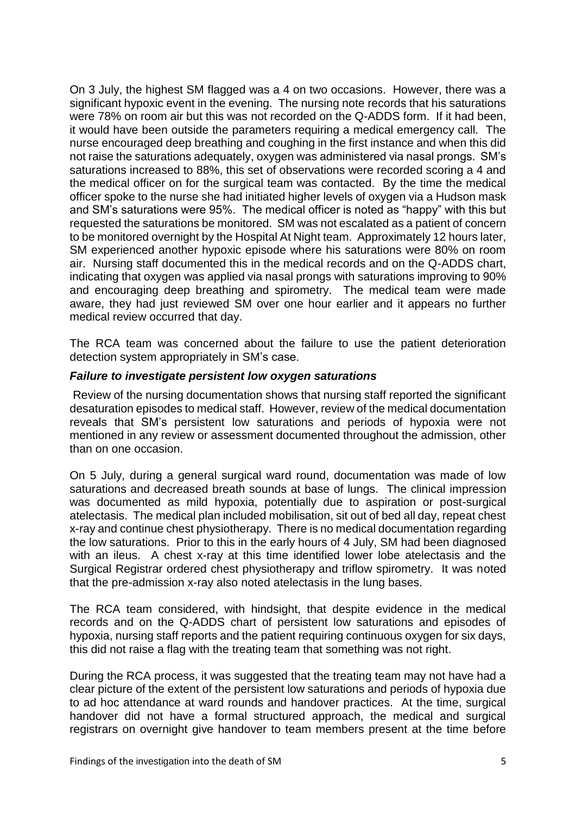On 3 July, the highest SM flagged was a 4 on two occasions. However, there was a significant hypoxic event in the evening. The nursing note records that his saturations were 78% on room air but this was not recorded on the Q-ADDS form. If it had been, it would have been outside the parameters requiring a medical emergency call. The nurse encouraged deep breathing and coughing in the first instance and when this did not raise the saturations adequately, oxygen was administered via nasal prongs. SM's saturations increased to 88%, this set of observations were recorded scoring a 4 and the medical officer on for the surgical team was contacted. By the time the medical officer spoke to the nurse she had initiated higher levels of oxygen via a Hudson mask and SM's saturations were 95%. The medical officer is noted as "happy" with this but requested the saturations be monitored. SM was not escalated as a patient of concern to be monitored overnight by the Hospital At Night team. Approximately 12 hours later, SM experienced another hypoxic episode where his saturations were 80% on room air. Nursing staff documented this in the medical records and on the Q-ADDS chart, indicating that oxygen was applied via nasal prongs with saturations improving to 90% and encouraging deep breathing and spirometry. The medical team were made aware, they had just reviewed SM over one hour earlier and it appears no further medical review occurred that day.

The RCA team was concerned about the failure to use the patient deterioration detection system appropriately in SM's case.

#### *Failure to investigate persistent low oxygen saturations*

Review of the nursing documentation shows that nursing staff reported the significant desaturation episodes to medical staff. However, review of the medical documentation reveals that SM's persistent low saturations and periods of hypoxia were not mentioned in any review or assessment documented throughout the admission, other than on one occasion.

On 5 July, during a general surgical ward round, documentation was made of low saturations and decreased breath sounds at base of lungs. The clinical impression was documented as mild hypoxia, potentially due to aspiration or post-surgical atelectasis. The medical plan included mobilisation, sit out of bed all day, repeat chest x-ray and continue chest physiotherapy. There is no medical documentation regarding the low saturations. Prior to this in the early hours of 4 July, SM had been diagnosed with an ileus. A chest x-ray at this time identified lower lobe atelectasis and the Surgical Registrar ordered chest physiotherapy and triflow spirometry. It was noted that the pre-admission x-ray also noted atelectasis in the lung bases.

The RCA team considered, with hindsight, that despite evidence in the medical records and on the Q-ADDS chart of persistent low saturations and episodes of hypoxia, nursing staff reports and the patient requiring continuous oxygen for six days, this did not raise a flag with the treating team that something was not right.

During the RCA process, it was suggested that the treating team may not have had a clear picture of the extent of the persistent low saturations and periods of hypoxia due to ad hoc attendance at ward rounds and handover practices. At the time, surgical handover did not have a formal structured approach, the medical and surgical registrars on overnight give handover to team members present at the time before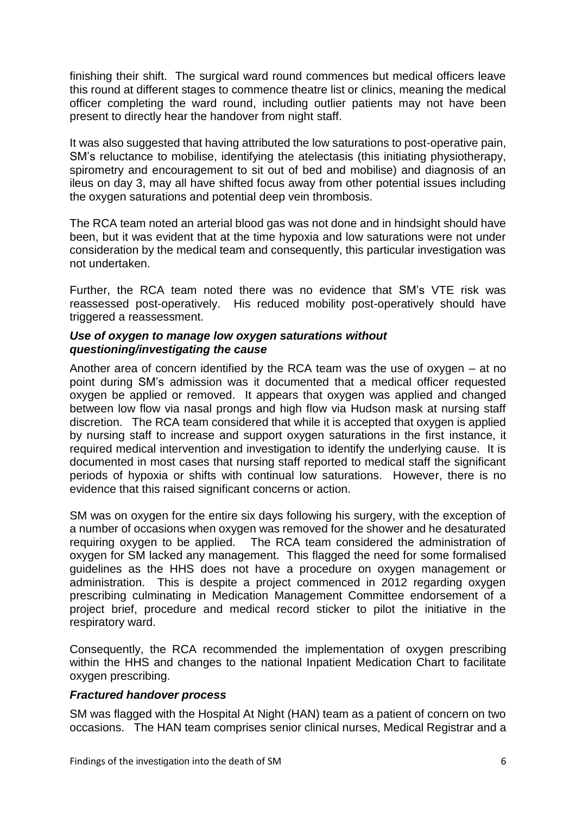finishing their shift. The surgical ward round commences but medical officers leave this round at different stages to commence theatre list or clinics, meaning the medical officer completing the ward round, including outlier patients may not have been present to directly hear the handover from night staff.

It was also suggested that having attributed the low saturations to post-operative pain, SM's reluctance to mobilise, identifying the atelectasis (this initiating physiotherapy, spirometry and encouragement to sit out of bed and mobilise) and diagnosis of an ileus on day 3, may all have shifted focus away from other potential issues including the oxygen saturations and potential deep vein thrombosis.

The RCA team noted an arterial blood gas was not done and in hindsight should have been, but it was evident that at the time hypoxia and low saturations were not under consideration by the medical team and consequently, this particular investigation was not undertaken.

Further, the RCA team noted there was no evidence that SM's VTE risk was reassessed post-operatively. His reduced mobility post-operatively should have triggered a reassessment.

#### *Use of oxygen to manage low oxygen saturations without questioning/investigating the cause*

Another area of concern identified by the RCA team was the use of oxygen – at no point during SM's admission was it documented that a medical officer requested oxygen be applied or removed. It appears that oxygen was applied and changed between low flow via nasal prongs and high flow via Hudson mask at nursing staff discretion. The RCA team considered that while it is accepted that oxygen is applied by nursing staff to increase and support oxygen saturations in the first instance, it required medical intervention and investigation to identify the underlying cause. It is documented in most cases that nursing staff reported to medical staff the significant periods of hypoxia or shifts with continual low saturations. However, there is no evidence that this raised significant concerns or action.

SM was on oxygen for the entire six days following his surgery, with the exception of a number of occasions when oxygen was removed for the shower and he desaturated requiring oxygen to be applied. The RCA team considered the administration of oxygen for SM lacked any management. This flagged the need for some formalised guidelines as the HHS does not have a procedure on oxygen management or administration. This is despite a project commenced in 2012 regarding oxygen prescribing culminating in Medication Management Committee endorsement of a project brief, procedure and medical record sticker to pilot the initiative in the respiratory ward.

Consequently, the RCA recommended the implementation of oxygen prescribing within the HHS and changes to the national Inpatient Medication Chart to facilitate oxygen prescribing.

## *Fractured handover process*

SM was flagged with the Hospital At Night (HAN) team as a patient of concern on two occasions. The HAN team comprises senior clinical nurses, Medical Registrar and a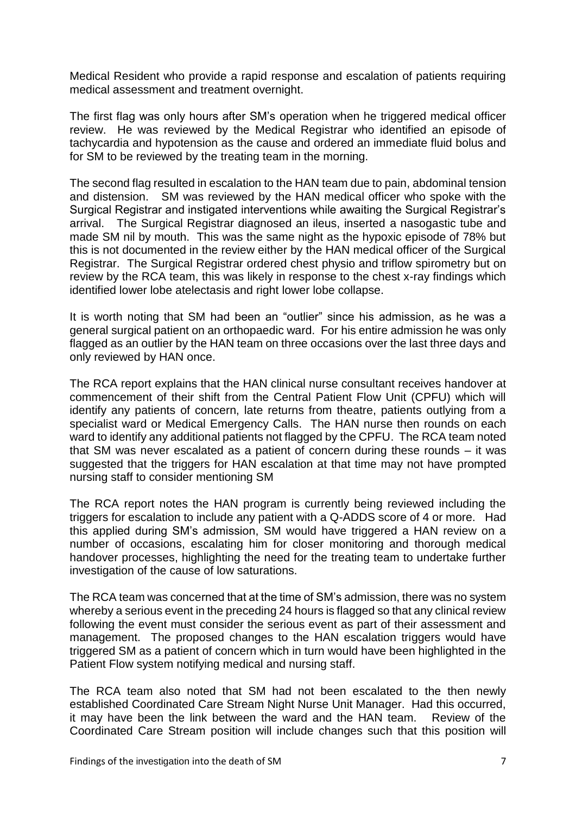Medical Resident who provide a rapid response and escalation of patients requiring medical assessment and treatment overnight.

The first flag was only hours after SM's operation when he triggered medical officer review. He was reviewed by the Medical Registrar who identified an episode of tachycardia and hypotension as the cause and ordered an immediate fluid bolus and for SM to be reviewed by the treating team in the morning.

The second flag resulted in escalation to the HAN team due to pain, abdominal tension and distension. SM was reviewed by the HAN medical officer who spoke with the Surgical Registrar and instigated interventions while awaiting the Surgical Registrar's arrival. The Surgical Registrar diagnosed an ileus, inserted a nasogastic tube and made SM nil by mouth. This was the same night as the hypoxic episode of 78% but this is not documented in the review either by the HAN medical officer of the Surgical Registrar. The Surgical Registrar ordered chest physio and triflow spirometry but on review by the RCA team, this was likely in response to the chest x-ray findings which identified lower lobe atelectasis and right lower lobe collapse.

It is worth noting that SM had been an "outlier" since his admission, as he was a general surgical patient on an orthopaedic ward. For his entire admission he was only flagged as an outlier by the HAN team on three occasions over the last three days and only reviewed by HAN once.

The RCA report explains that the HAN clinical nurse consultant receives handover at commencement of their shift from the Central Patient Flow Unit (CPFU) which will identify any patients of concern, late returns from theatre, patients outlying from a specialist ward or Medical Emergency Calls. The HAN nurse then rounds on each ward to identify any additional patients not flagged by the CPFU. The RCA team noted that SM was never escalated as a patient of concern during these rounds – it was suggested that the triggers for HAN escalation at that time may not have prompted nursing staff to consider mentioning SM

The RCA report notes the HAN program is currently being reviewed including the triggers for escalation to include any patient with a Q-ADDS score of 4 or more. Had this applied during SM's admission, SM would have triggered a HAN review on a number of occasions, escalating him for closer monitoring and thorough medical handover processes, highlighting the need for the treating team to undertake further investigation of the cause of low saturations.

The RCA team was concerned that at the time of SM's admission, there was no system whereby a serious event in the preceding 24 hours is flagged so that any clinical review following the event must consider the serious event as part of their assessment and management. The proposed changes to the HAN escalation triggers would have triggered SM as a patient of concern which in turn would have been highlighted in the Patient Flow system notifying medical and nursing staff.

The RCA team also noted that SM had not been escalated to the then newly established Coordinated Care Stream Night Nurse Unit Manager. Had this occurred, it may have been the link between the ward and the HAN team. Review of the Coordinated Care Stream position will include changes such that this position will